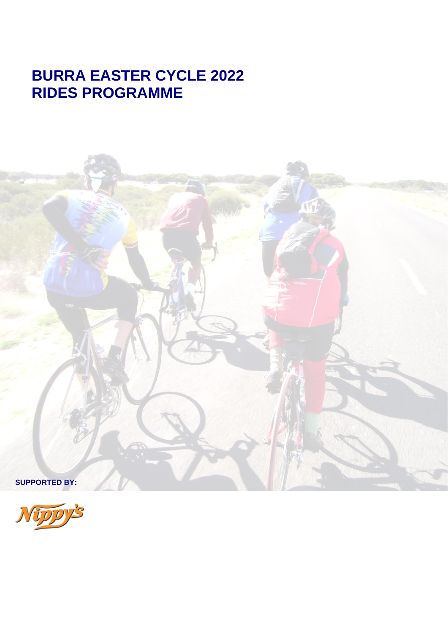# **BURRA EASTER CYCLE 2022 RIDES PROGRAMME**



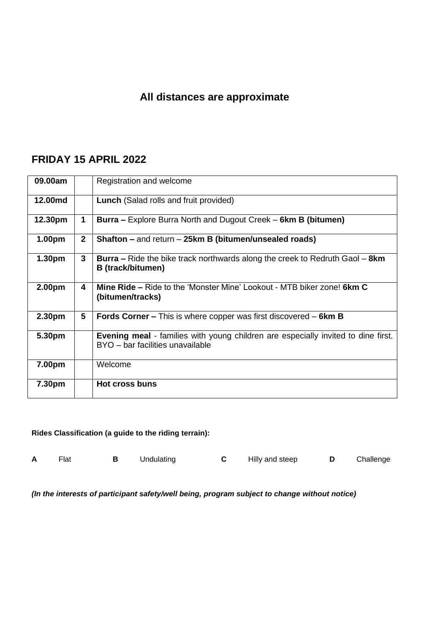# **All distances are approximate**

# **FRIDAY 15 APRIL 2022**

| 09.00am            |                 | Registration and welcome                                                                                                     |
|--------------------|-----------------|------------------------------------------------------------------------------------------------------------------------------|
| 12.00md            |                 | <b>Lunch</b> (Salad rolls and fruit provided)                                                                                |
| 12.30pm            | 1               | <b>Burra</b> – Explore Burra North and Dugout Creek – 6km B (bitumen)                                                        |
| 1.00 <sub>pm</sub> | $\mathbf{2}$    | Shafton – and return – 25km B (bitumen/unsealed roads)                                                                       |
| 1.30pm             | $\mathbf{3}$    | <b>Burra</b> – Ride the bike track northwards along the creek to Redruth Gaol – 8km<br>B (track/bitumen)                     |
| 2.00pm             | 4               | <b>Mine Ride – Ride to the 'Monster Mine' Lookout - MTB biker zone! 6km C</b><br>(bitumen/tracks)                            |
| 2.30pm             | $5\phantom{.0}$ | <b>Fords Corner – This is where copper was first discovered – 6km B</b>                                                      |
| 5.30pm             |                 | <b>Evening meal</b> - families with young children are especially invited to dine first.<br>BYO - bar facilities unavailable |
| 7.00pm             |                 | Welcome                                                                                                                      |
| 7.30pm             |                 | <b>Hot cross buns</b>                                                                                                        |

#### **Rides Classification (a guide to the riding terrain):**

| Flat | Undulating | Hilly and steep | Challenge |
|------|------------|-----------------|-----------|
|      |            |                 |           |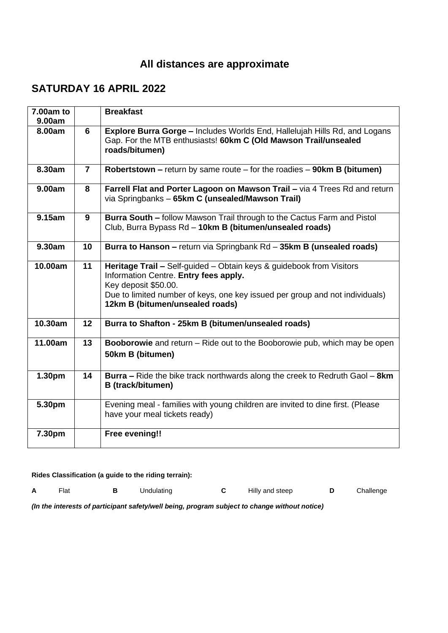# **All distances are approximate**

## **SATURDAY 16 APRIL 2022**

| 7.00am to<br>9.00am |                | <b>Breakfast</b>                                                                                                                                                                                                                                         |
|---------------------|----------------|----------------------------------------------------------------------------------------------------------------------------------------------------------------------------------------------------------------------------------------------------------|
| 8.00am              | 6              | <b>Explore Burra Gorge – Includes Worlds End, Hallelujah Hills Rd, and Logans</b><br>Gap. For the MTB enthusiasts! 60km C (Old Mawson Trail/unsealed<br>roads/bitumen)                                                                                   |
| 8.30am              | $\overline{7}$ | Robertstown $-$ return by same route $-$ for the roadies $-$ 90km B (bitumen)                                                                                                                                                                            |
| 9.00am              | 8              | Farrell Flat and Porter Lagoon on Mawson Trail - via 4 Trees Rd and return<br>via Springbanks - 65km C (unsealed/Mawson Trail)                                                                                                                           |
| 9.15am              | 9              | Burra South - follow Mawson Trail through to the Cactus Farm and Pistol<br>Club, Burra Bypass Rd - 10km B (bitumen/unsealed roads)                                                                                                                       |
| 9.30am              | 10             | Burra to Hanson - return via Springbank Rd - 35km B (unsealed roads)                                                                                                                                                                                     |
| 10.00am             | 11             | Heritage Trail - Self-guided - Obtain keys & guidebook from Visitors<br>Information Centre. Entry fees apply.<br>Key deposit \$50.00.<br>Due to limited number of keys, one key issued per group and not individuals)<br>12km B (bitumen/unsealed roads) |
| 10.30am             | 12             | Burra to Shafton - 25km B (bitumen/unsealed roads)                                                                                                                                                                                                       |
| 11.00am             | 13             | Booborowie and return - Ride out to the Booborowie pub, which may be open<br>50km B (bitumen)                                                                                                                                                            |
| 1.30pm              | 14             | <b>Burra</b> – Ride the bike track northwards along the creek to Redruth Gaol – 8km<br><b>B</b> (track/bitumen)                                                                                                                                          |
| 5.30pm              |                | Evening meal - families with young children are invited to dine first. (Please<br>have your meal tickets ready)                                                                                                                                          |
| 7.30pm              |                | <b>Free evening!!</b>                                                                                                                                                                                                                                    |

**Rides Classification (a guide to the riding terrain):**

**A** Flat **B** Undulating **C** Hilly and steep **D** Challenge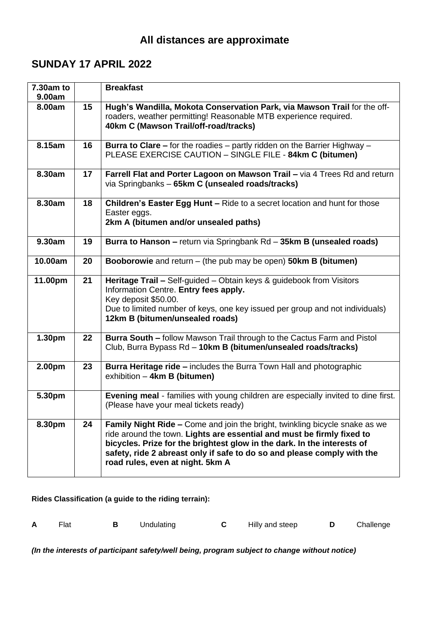## **SUNDAY 17 APRIL 2022**

| 7.30am to<br>9.00am |    | <b>Breakfast</b>                                                                                                                                                                                                                                                                                                                                       |  |  |  |
|---------------------|----|--------------------------------------------------------------------------------------------------------------------------------------------------------------------------------------------------------------------------------------------------------------------------------------------------------------------------------------------------------|--|--|--|
| 8.00am              | 15 | Hugh's Wandilla, Mokota Conservation Park, via Mawson Trail for the off-<br>roaders, weather permitting! Reasonable MTB experience required.<br>40km C (Mawson Trail/off-road/tracks)                                                                                                                                                                  |  |  |  |
| 8.15am              | 16 | <b>Burra to Clare –</b> for the roadies – partly ridden on the Barrier Highway –<br>PLEASE EXERCISE CAUTION - SINGLE FILE - 84km C (bitumen)                                                                                                                                                                                                           |  |  |  |
| 8.30am              | 17 | Farrell Flat and Porter Lagoon on Mawson Trail - via 4 Trees Rd and return<br>via Springbanks - 65km C (unsealed roads/tracks)                                                                                                                                                                                                                         |  |  |  |
| 8.30am              | 18 | Children's Easter Egg Hunt - Ride to a secret location and hunt for those<br>Easter eggs.<br>2km A (bitumen and/or unsealed paths)                                                                                                                                                                                                                     |  |  |  |
| 9.30am              | 19 | Burra to Hanson - return via Springbank Rd - 35km B (unsealed roads)                                                                                                                                                                                                                                                                                   |  |  |  |
| 10.00am             | 20 | <b>Booborowie</b> and return $-$ (the pub may be open) <b>50km B (bitumen)</b>                                                                                                                                                                                                                                                                         |  |  |  |
| 11.00pm             | 21 | Heritage Trail - Self-guided - Obtain keys & guidebook from Visitors<br>Information Centre. Entry fees apply.<br>Key deposit \$50.00.<br>Due to limited number of keys, one key issued per group and not individuals)<br>12km B (bitumen/unsealed roads)                                                                                               |  |  |  |
| 1.30pm              | 22 | Burra South - follow Mawson Trail through to the Cactus Farm and Pistol<br>Club, Burra Bypass Rd - 10km B (bitumen/unsealed roads/tracks)                                                                                                                                                                                                              |  |  |  |
| 2.00pm              | 23 | <b>Burra Heritage ride - includes the Burra Town Hall and photographic</b><br>exhibition - 4km B (bitumen)                                                                                                                                                                                                                                             |  |  |  |
| 5.30pm              |    | Evening meal - families with young children are especially invited to dine first.<br>(Please have your meal tickets ready)                                                                                                                                                                                                                             |  |  |  |
| 8.30pm              | 24 | <b>Family Night Ride – Come and join the bright, twinkling bicycle snake as we</b><br>ride around the town. Lights are essential and must be firmly fixed to<br>bicycles. Prize for the brightest glow in the dark. In the interests of<br>safety, ride 2 abreast only if safe to do so and please comply with the<br>road rules, even at night. 5km A |  |  |  |

**Rides Classification (a guide to the riding terrain):**

| A | Flat |  | Undulating |  | Hilly and steep |  | Challenge |
|---|------|--|------------|--|-----------------|--|-----------|
|---|------|--|------------|--|-----------------|--|-----------|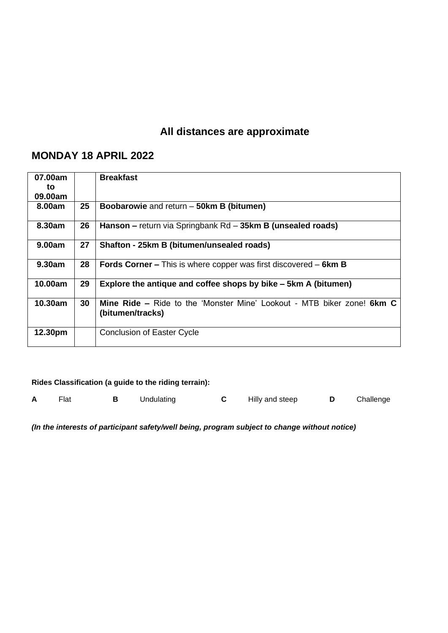# **All distances are approximate**

# **MONDAY 18 APRIL 2022**

| 07.00am |    | <b>Breakfast</b>                                                                                  |
|---------|----|---------------------------------------------------------------------------------------------------|
| to      |    |                                                                                                   |
| 09.00am |    |                                                                                                   |
| 8.00am  | 25 | Boobarowie and return - 50km B (bitumen)                                                          |
| 8.30am  | 26 | Hanson – return via Springbank Rd – 35km B (unsealed roads)                                       |
| 9.00am  | 27 | Shafton - 25km B (bitumen/unsealed roads)                                                         |
| 9.30am  | 28 | <b>Fords Corner –</b> This is where copper was first discovered – $6km B$                         |
| 10.00am | 29 | Explore the antique and coffee shops by bike – 5km A (bitumen)                                    |
| 10.30am | 30 | <b>Mine Ride – Ride to the 'Monster Mine' Lookout - MTB biker zone! 6km C</b><br>(bitumen/tracks) |
| 12.30pm |    | <b>Conclusion of Easter Cycle</b>                                                                 |

#### **Rides Classification (a guide to the riding terrain):**

**A** Flat **B** Undulating **C** Hilly and steep **D** Challenge